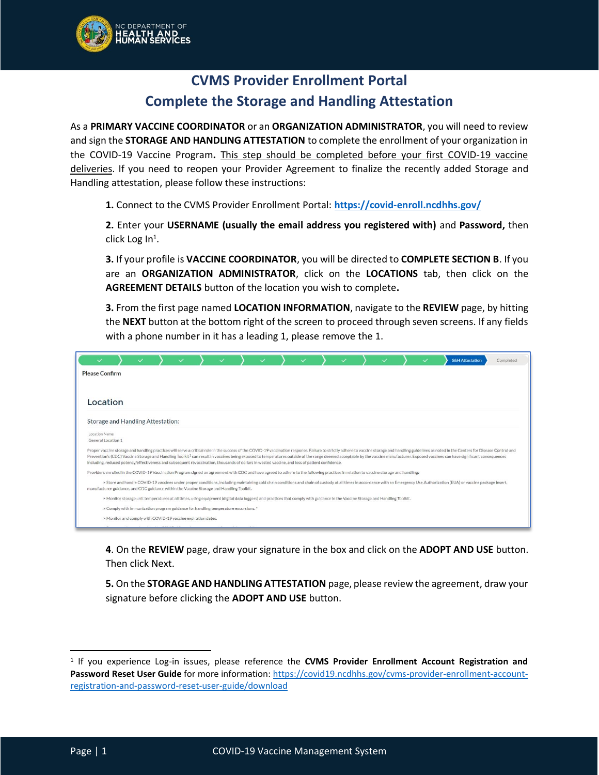

## **CVMS Provider Enrollment Portal Complete the Storage and Handling Attestation**

As a **PRIMARY VACCINE COORDINATOR** or an **ORGANIZATION ADMINISTRATOR**, you will need to review and sign the **STORAGE AND HANDLING ATTESTATION** to complete the enrollment of your organization in the COVID-19 Vaccine Program**.** This step should be completed before your first COVID-19 vaccine deliveries. If you need to reopen your Provider Agreement to finalize the recently added Storage and Handling attestation, please follow these instructions:

**1.** Connect to the CVMS Provider Enrollment Portal: **<https://covid-enroll.ncdhhs.gov/>**

**2.** Enter your **USERNAME (usually the email address you registered with)** and **Password,** then click Log In $^1$ .

**3.** If your profile is **VACCINE COORDINATOR**, you will be directed to **COMPLETE SECTION B**. If you are an **ORGANIZATION ADMINISTRATOR**, click on the **LOCATIONS** tab, then click on the **AGREEMENT DETAILS** button of the location you wish to complete**.**

**3.** From the first page named **LOCATION INFORMATION**, navigate to the **REVIEW** page, by hitting the **NEXT** button at the bottom right of the screen to proceed through seven screens. If any fields with a phone number in it has a leading 1, please remove the 1.

|                                                                                                                                                                                       |                                                                                                                                                                               |  |  |  |  |  |  |  | <b>S&amp;H Attestation</b>                                                                                                                                                                                                                                                                                                                                                                                                                                                 | Completed |
|---------------------------------------------------------------------------------------------------------------------------------------------------------------------------------------|-------------------------------------------------------------------------------------------------------------------------------------------------------------------------------|--|--|--|--|--|--|--|----------------------------------------------------------------------------------------------------------------------------------------------------------------------------------------------------------------------------------------------------------------------------------------------------------------------------------------------------------------------------------------------------------------------------------------------------------------------------|-----------|
| <b>Please Confirm</b>                                                                                                                                                                 |                                                                                                                                                                               |  |  |  |  |  |  |  |                                                                                                                                                                                                                                                                                                                                                                                                                                                                            |           |
|                                                                                                                                                                                       |                                                                                                                                                                               |  |  |  |  |  |  |  |                                                                                                                                                                                                                                                                                                                                                                                                                                                                            |           |
| Location                                                                                                                                                                              |                                                                                                                                                                               |  |  |  |  |  |  |  |                                                                                                                                                                                                                                                                                                                                                                                                                                                                            |           |
| Storage and Handling Attestation:                                                                                                                                                     |                                                                                                                                                                               |  |  |  |  |  |  |  |                                                                                                                                                                                                                                                                                                                                                                                                                                                                            |           |
| Location Name<br>General Location 1                                                                                                                                                   |                                                                                                                                                                               |  |  |  |  |  |  |  |                                                                                                                                                                                                                                                                                                                                                                                                                                                                            |           |
| including, reduced potency/effectiveness and subsequent revaccination, thousands of dollars in wasted vaccine, and loss of patient confidence.                                        |                                                                                                                                                                               |  |  |  |  |  |  |  | Proper vaccine storage and handling practices will serve a critical role in the success of the COVID-19 vaccination response. Failure to strictly adhere to vaccine storage and handling guidelines as noted in the Centers fo<br>Prevention's (CDC) Vaccine Storage and Handling Toolkit <sup>1</sup> can result in vaccines being exposed to temperatures outside of the range deemed acceptable by the vaccine manufacturer. Exposed vaccines can have significant cons |           |
| Providers enrolled in the COVID-19 Vaccination Program signed an agreement with CDC and have agreed to adhere to the following practices in relation to vaccine storage and handling: |                                                                                                                                                                               |  |  |  |  |  |  |  |                                                                                                                                                                                                                                                                                                                                                                                                                                                                            |           |
| manufacturer guidance, and CDC guidance within the Vaccine Storage and Handling Toolkit.                                                                                              |                                                                                                                                                                               |  |  |  |  |  |  |  | > Store and handle COVID-19 vaccines under proper conditions, including maintaining cold chain conditions and chain of custody at all times in accordance with an Emergency Use Authorization (EUA) or vaccine package insert,                                                                                                                                                                                                                                             |           |
|                                                                                                                                                                                       | > Monitor storage unit temperatures at all times, using equipment (digital data loggers) and practices that comply with guidance in the Vaccine Storage and Handling Toolkit. |  |  |  |  |  |  |  |                                                                                                                                                                                                                                                                                                                                                                                                                                                                            |           |
|                                                                                                                                                                                       | > Comply with immunization program guidance for handling temperature excursions.*                                                                                             |  |  |  |  |  |  |  |                                                                                                                                                                                                                                                                                                                                                                                                                                                                            |           |
|                                                                                                                                                                                       | > Monitor and comply with COVID-19 vaccine expiration dates.                                                                                                                  |  |  |  |  |  |  |  |                                                                                                                                                                                                                                                                                                                                                                                                                                                                            |           |

**4**. On the **REVIEW** page, draw your signature in the box and click on the **ADOPT AND USE** button. Then click Next.

**5.** On the **STORAGE AND HANDLING ATTESTATION** page, please review the agreement, draw your signature before clicking the **ADOPT AND USE** button.

<sup>1</sup> If you experience Log-in issues, please reference the **CVMS Provider Enrollment Account Registration and Password Reset User Guide** for more information: [https://covid19.ncdhhs.gov/cvms-provider-enrollment-account](https://covid19.ncdhhs.gov/cvms-provider-enrollment-account-registration-and-password-reset-user-guide/download)[registration-and-password-reset-user-guide/download](https://covid19.ncdhhs.gov/cvms-provider-enrollment-account-registration-and-password-reset-user-guide/download)